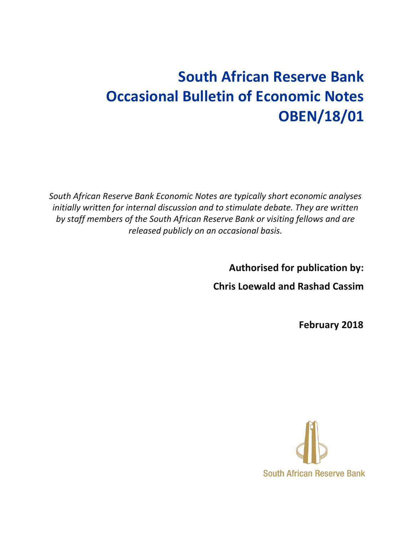# **South African Reserve Bank Occasional Bulletin of Economic Notes OBEN/18/01**

*South African Reserve Bank Economic Notes are typically short economic analyses initially written for internal discussion and to stimulate debate. They are written by staff members of the South African Reserve Bank or visiting fellows and are released publicly on an occasional basis.*

**Authorised for publication by:**

**Chris Loewald and Rashad Cassim**

**February 2018**

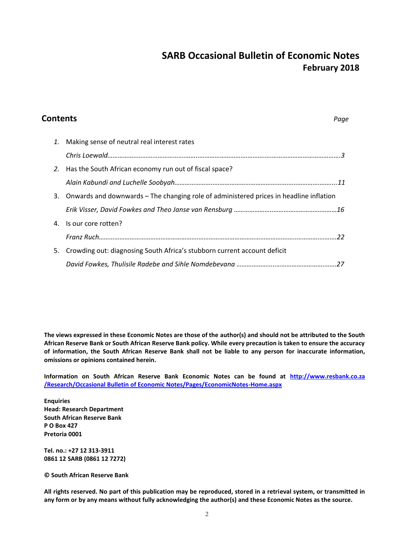# **SARB Occasional Bulletin of Economic Notes February 2018**

# **Contents** *Page 1.* Making sense of neutral real interest rates *Chris Loewald……………..……………………….……..……………………….……….….………………………………….3 2.* Has the South African economy run out of fiscal space? *Alain Kabundi and Luchelle Soobyah…………………..…………………………………….…..………….……....11* 3. Onwards and downwards – The changing role of administered prices in headline inflation *Erik Visser, David Fowkes and Theo Janse van Rensburg …………………..……………………….………16* 4. Is our core rotten? *Franz Ruch………………………………………………….…………………………………………….…..………….……….22* 5. Crowding out: diagnosing South Africa's stubborn current account deficit *David Fowkes, Thulisile Radebe and Sihle Nomdebevana …………………..……………………….…….27*

**The views expressed in these Economic Notes are those of the author(s) and should not be attributed to the South African Reserve Bank or South African Reserve Bank policy. While every precaution is taken to ensure the accuracy of information, the South African Reserve Bank shall not be liable to any person for inaccurate information, omissions or opinions contained herein.**

**Information on South African Reserve Bank Economic Notes can be found at http://www.resbank.co.za /Research/Occasional Bulletin of Economic Notes/Pages/EconomicNotes-Home.aspx**

**Enquiries Head: Research Department South African Reserve Bank P O Box 427 Pretoria 0001**

**Tel. no.: +27 12 313-3911 0861 12 SARB (0861 12 7272)**

**© South African Reserve Bank**

**All rights reserved. No part of this publication may be reproduced, stored in a retrieval system, or transmitted in any form or by any means without fully acknowledging the author(s) and these Economic Notes as the source.**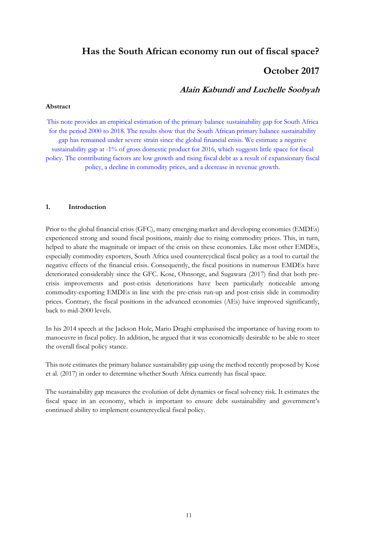## **Has the South African economy run out of fiscal space?**

### **October 2017**

### **Alain Kabundi and Luchelle Soobyah**

#### **Abstract**

This note provides an empirical estimation of the primary balance sustainability gap for South Africa for the period 2000 to 2018. The results show that the South African primary balance sustainability gap has remained under severe strain since the global financial crisis. We estimate a negative sustainability gap at -1% of gross domestic product for 2016, which suggests little space for fiscal policy. The contributing factors are low growth and rising fiscal debt as a result of expansionary fiscal policy, a decline in commodity prices, and a decrease in revenue growth.

#### **1. Introduction**

Prior to the global financial crisis (GFC), many emerging market and developing economies (EMDEs) experienced strong and sound fiscal positions, mainly due to rising commodity prices. This, in turn, helped to abate the magnitude or impact of the crisis on these economies. Like most other EMDEs, especially commodity exporters, South Africa used countercyclical fiscal policy as a tool to curtail the negative effects of the financial crisis. Consequently, the fiscal positions in numerous EMDEs have deteriorated considerably since the GFC. Kose, Ohnsorge, and Sugawara (2017) find that both precrisis improvements and post-crisis deteriorations have been particularly noticeable among commodity-exporting EMDEs in line with the pre-crisis run-up and post-crisis slide in commodity prices. Contrary, the fiscal positions in the advanced economies (AEs) have improved significantly, back to mid-2000 levels.

In his 2014 speech at the Jackson Hole, Mario Draghi emphasised the importance of having room to manoeuvre in fiscal policy. In addition, he argued that it was economically desirable to be able to steer the overall fiscal policy stance.

This note estimates the primary balance sustainability gap using the method recently proposed by Kose et al. (2017) in order to determine whether South Africa currently has fiscal space.

The sustainability gap measures the evolution of debt dynamics or fiscal solvency risk. It estimates the fiscal space in an economy, which is important to ensure debt sustainability and government's continued ability to implement countercyclical fiscal policy.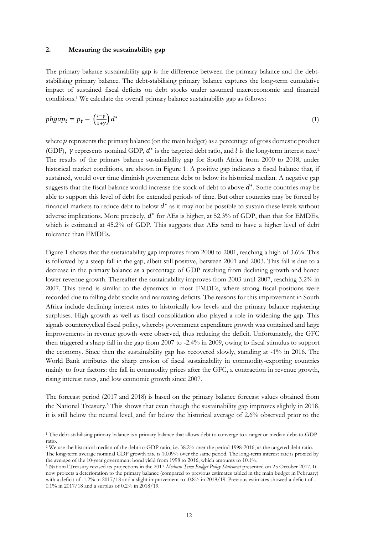#### **2. Measuring the sustainability gap**

The primary balance sustainability gap is the difference between the primary balance and the debtstabilising primary balance. The debt-stabilising primary balance captures the long-term cumulative impact of sustained fiscal deficits on debt stocks under assumed macroeconomic and financial conditions.<sup>1</sup> We calculate the overall primary balance sustainability gap as follows:

$$
pbgap_t = p_t - \left(\frac{i-\gamma}{1+\gamma}\right)d^* \tag{1}
$$

where  $p$  represents the primary balance (on the main budget) as a percentage of gross domestic product (GDP),  $\gamma$  represents nominal GDP,  $d^*$  is the targeted debt ratio, and  $i$  is the long-term interest rate.<sup>2</sup> The results of the primary balance sustainability gap for South Africa from 2000 to 2018, under historical market conditions, are shown in Figure 1. A positive gap indicates a fiscal balance that, if sustained, would over time diminish government debt to below its historical median. A negative gap suggests that the fiscal balance would increase the stock of debt to above  $d^*$ . Some countries may be able to support this level of debt for extended periods of time. But other countries may be forced by financial markets to reduce debt to below  $d^*$  as it may not be possible to sustain these levels without adverse implications. More precisely,  $d^*$  for AEs is higher, at 52.3% of GDP, than that for EMDEs, which is estimated at 45.2% of GDP. This suggests that AEs tend to have a higher level of debt tolerance than EMDEs.

Figure 1 shows that the sustainability gap improves from 2000 to 2001, reaching a high of 3.6%. This is followed by a steep fall in the gap, albeit still positive, between 2001 and 2003. This fall is due to a decrease in the primary balance as a percentage of GDP resulting from declining growth and hence lower revenue growth. Thereafter the sustainability improves from 2003 until 2007, reaching 3.2% in 2007. This trend is similar to the dynamics in most EMDEs, where strong fiscal positions were recorded due to falling debt stocks and narrowing deficits. The reasons for this improvement in South Africa include declining interest rates to historically low levels and the primary balance registering surpluses. High growth as well as fiscal consolidation also played a role in widening the gap. This signals countercyclical fiscal policy, whereby government expenditure growth was contained and large improvements in revenue growth were observed, thus reducing the deficit. Unfortunately, the GFC then triggered a sharp fall in the gap from 2007 to -2.4% in 2009, owing to fiscal stimulus to support the economy. Since then the sustainability gap has recovered slowly, standing at -1% in 2016. The World Bank attributes the sharp erosion of fiscal sustainability in commodity-exporting countries mainly to four factors: the fall in commodity prices after the GFC, a contraction in revenue growth, rising interest rates, and low economic growth since 2007.

The forecast period (2017 and 2018) is based on the primary balance forecast values obtained from the National Treasury.<sup>3</sup> This shows that even though the sustainability gap improves slightly in 2018, it is still below the neutral level, and far below the historical average of 2.6% observed prior to the

<sup>1</sup> The debt-stabilising primary balance is a primary balance that allows debt to converge to a target or median debt-to-GDP ratio.

<sup>2</sup> We use the historical median of the debt-to-GDP ratio, i.e. 38.2% over the period 1998-2016, as the targeted debt ratio. The long-term average nominal GDP growth rate is 10.09% over the same period. The long-term interest rate is proxied by the average of the 10-year government bond yield from 1998 to 2016, which amounts to 10.1%.

<sup>3</sup> National Treasury revised its projections in the 2017 *Medium Term Budget Policy Statement* presented on 25 October 2017. It now projects a deterioration to the primary balance (compared to previous estimates tabled in the main budget in February) with a deficit of -1.2% in 2017/18 and a slight improvement to -0.8% in 2018/19. Previous estimates showed a deficit of -0.1% in 2017/18 and a surplus of 0.2% in 2018/19.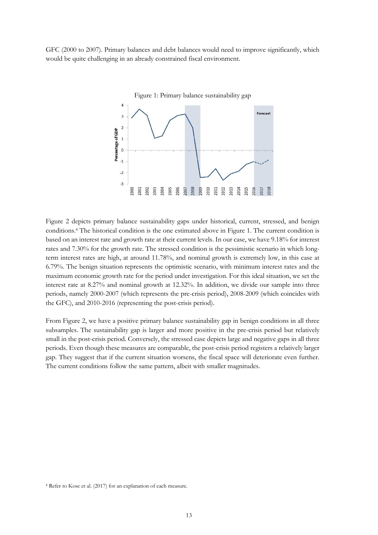GFC (2000 to 2007). Primary balances and debt balances would need to improve significantly, which would be quite challenging in an already constrained fiscal environment.



Figure 2 depicts primary balance sustainability gaps under historical, current, stressed, and benign conditions.<sup>4</sup> The historical condition is the one estimated above in Figure 1. The current condition is based on an interest rate and growth rate at their current levels. In our case, we have 9.18% for interest rates and 7.30% for the growth rate. The stressed condition is the pessimistic scenario in which longterm interest rates are high, at around 11.78%, and nominal growth is extremely low, in this case at 6.79%. The benign situation represents the optimistic scenario, with minimum interest rates and the maximum economic growth rate for the period under investigation. For this ideal situation, we set the interest rate at 8.27% and nominal growth at 12.32%. In addition, we divide our sample into three periods, namely 2000-2007 (which represents the pre-crisis period), 2008-2009 (which coincides with the GFC), and 2010-2016 (representing the post-crisis period).

From Figure 2, we have a positive primary balance sustainability gap in benign conditions in all three subsamples. The sustainability gap is larger and more positive in the pre-crisis period but relatively small in the post-crisis period. Conversely, the stressed case depicts large and negative gaps in all three periods. Even though these measures are comparable, the post-crisis period registers a relatively larger gap. They suggest that if the current situation worsens, the fiscal space will deteriorate even further. The current conditions follow the same pattern, albeit with smaller magnitudes.

<sup>4</sup> Refer to Kose et al. (2017) for an explanation of each measure.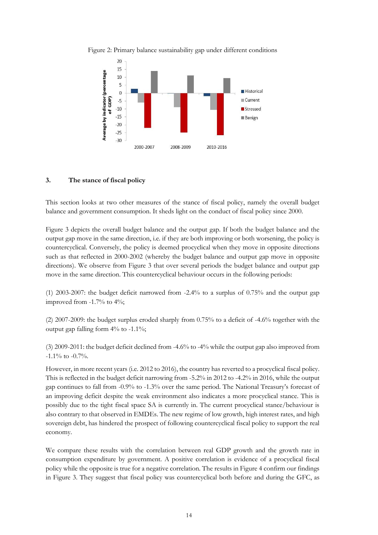



#### **3. The stance of fiscal policy**

This section looks at two other measures of the stance of fiscal policy, namely the overall budget balance and government consumption. It sheds light on the conduct of fiscal policy since 2000.

Figure 3 depicts the overall budget balance and the output gap. If both the budget balance and the output gap move in the same direction, i.e. if they are both improving or both worsening, the policy is countercyclical. Conversely, the policy is deemed procyclical when they move in opposite directions such as that reflected in 2000-2002 (whereby the budget balance and output gap move in opposite directions). We observe from Figure 3 that over several periods the budget balance and output gap move in the same direction. This countercyclical behaviour occurs in the following periods:

(1) 2003-2007: the budget deficit narrowed from -2.4% to a surplus of 0.75% and the output gap improved from -1.7% to 4%;

(2) 2007-2009: the budget surplus eroded sharply from 0.75% to a deficit of -4.6% together with the output gap falling form 4% to -1.1%;

(3) 2009-2011: the budget deficit declined from -4.6% to -4% while the output gap also improved from -1.1% to -0.7%.

However, in more recent years (i.e. 2012 to 2016), the country has reverted to a procyclical fiscal policy. This is reflected in the budget deficit narrowing from -5.2% in 2012 to -4.2% in 2016, while the output gap continues to fall from -0.9% to -1.3% over the same period. The National Treasury's forecast of an improving deficit despite the weak environment also indicates a more procyclical stance. This is possibly due to the tight fiscal space SA is currently in. The current procyclical stance/behaviour is also contrary to that observed in EMDEs. The new regime of low growth, high interest rates, and high sovereign debt, has hindered the prospect of following countercyclical fiscal policy to support the real economy.

We compare these results with the correlation between real GDP growth and the growth rate in consumption expenditure by government. A positive correlation is evidence of a procyclical fiscal policy while the opposite is true for a negative correlation. The results in Figure 4 confirm our findings in Figure 3. They suggest that fiscal policy was countercyclical both before and during the GFC, as